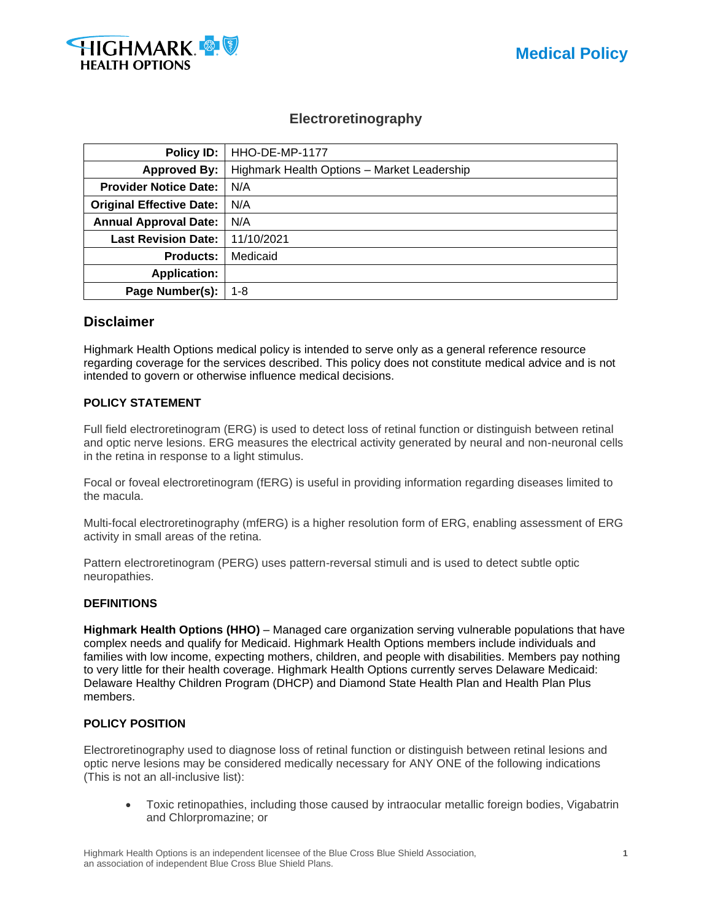

## **Electroretinography**

| Policy ID:                      | HHO-DE-MP-1177                              |  |  |
|---------------------------------|---------------------------------------------|--|--|
| <b>Approved By:</b>             | Highmark Health Options - Market Leadership |  |  |
| <b>Provider Notice Date:</b>    | N/A                                         |  |  |
| <b>Original Effective Date:</b> | N/A                                         |  |  |
| <b>Annual Approval Date:</b>    | N/A                                         |  |  |
| <b>Last Revision Date:</b>      | 11/10/2021                                  |  |  |
| <b>Products:</b>                | Medicaid                                    |  |  |
| <b>Application:</b>             |                                             |  |  |
| Page Number(s):                 | $1 - 8$                                     |  |  |

### **Disclaimer**

Highmark Health Options medical policy is intended to serve only as a general reference resource regarding coverage for the services described. This policy does not constitute medical advice and is not intended to govern or otherwise influence medical decisions.

### **POLICY STATEMENT**

Full field electroretinogram (ERG) is used to detect loss of retinal function or distinguish between retinal and optic nerve lesions. ERG measures the electrical activity generated by neural and non-neuronal cells in the retina in response to a light stimulus.

Focal or foveal electroretinogram (fERG) is useful in providing information regarding diseases limited to the macula.

Multi-focal electroretinography (mfERG) is a higher resolution form of ERG, enabling assessment of ERG activity in small areas of the retina.

Pattern electroretinogram (PERG) uses pattern-reversal stimuli and is used to detect subtle optic neuropathies.

#### **DEFINITIONS**

**Highmark Health Options (HHO)** – Managed care organization serving vulnerable populations that have complex needs and qualify for Medicaid. Highmark Health Options members include individuals and families with low income, expecting mothers, children, and people with disabilities. Members pay nothing to very little for their health coverage. Highmark Health Options currently serves Delaware Medicaid: Delaware Healthy Children Program (DHCP) and Diamond State Health Plan and Health Plan Plus members.

#### **POLICY POSITION**

Electroretinography used to diagnose loss of retinal function or distinguish between retinal lesions and optic nerve lesions may be considered medically necessary for ANY ONE of the following indications (This is not an all-inclusive list):

• Toxic retinopathies, including those caused by intraocular metallic foreign bodies, Vigabatrin and Chlorpromazine; or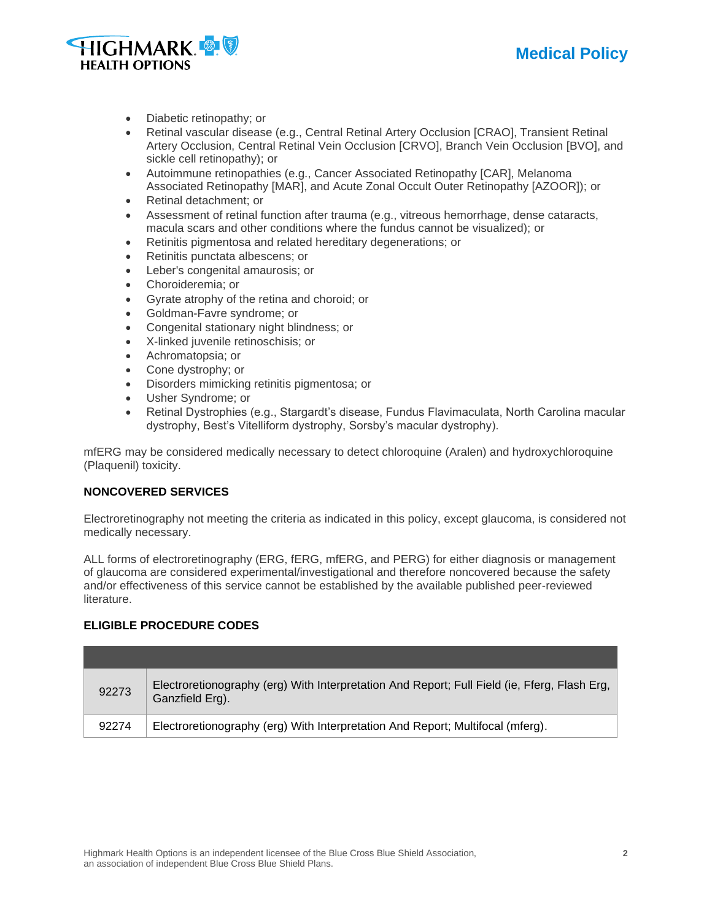



- Diabetic retinopathy; or
- Retinal vascular disease (e.g., Central Retinal Artery Occlusion [CRAO], Transient Retinal Artery Occlusion, Central Retinal Vein Occlusion [CRVO], Branch Vein Occlusion [BVO], and sickle cell retinopathy); or
- Autoimmune retinopathies (e.g., Cancer Associated Retinopathy [CAR], Melanoma Associated Retinopathy [MAR], and Acute Zonal Occult Outer Retinopathy [AZOOR]); or
- Retinal detachment; or
- Assessment of retinal function after trauma (e.g., vitreous hemorrhage, dense cataracts, macula scars and other conditions where the fundus cannot be visualized); or
- Retinitis pigmentosa and related hereditary degenerations; or
- Retinitis punctata albescens; or
- Leber's congenital amaurosis; or
- Choroideremia; or
- Gyrate atrophy of the retina and choroid; or
- Goldman-Favre syndrome; or
- Congenital stationary night blindness; or
- X-linked juvenile retinoschisis; or
- Achromatopsia; or
- Cone dystrophy; or
- Disorders mimicking retinitis pigmentosa; or
- Usher Syndrome; or
- Retinal Dystrophies (e.g., Stargardt's disease, Fundus Flavimaculata, North Carolina macular dystrophy, Best's Vitelliform dystrophy, Sorsby's macular dystrophy).

mfERG may be considered medically necessary to detect chloroquine (Aralen) and hydroxychloroquine (Plaquenil) toxicity.

### **NONCOVERED SERVICES**

Electroretinography not meeting the criteria as indicated in this policy, except glaucoma, is considered not medically necessary.

ALL forms of electroretinography (ERG, fERG, mfERG, and PERG) for either diagnosis or management of glaucoma are considered experimental/investigational and therefore noncovered because the safety and/or effectiveness of this service cannot be established by the available published peer-reviewed literature.

### **ELIGIBLE PROCEDURE CODES**

| 92273 | Electroretionography (erg) With Interpretation And Report; Full Field (ie, Fferg, Flash Erg,<br>Ganzfield Erg). |
|-------|-----------------------------------------------------------------------------------------------------------------|
| 92274 | Electroretionography (erg) With Interpretation And Report; Multifocal (mferg).                                  |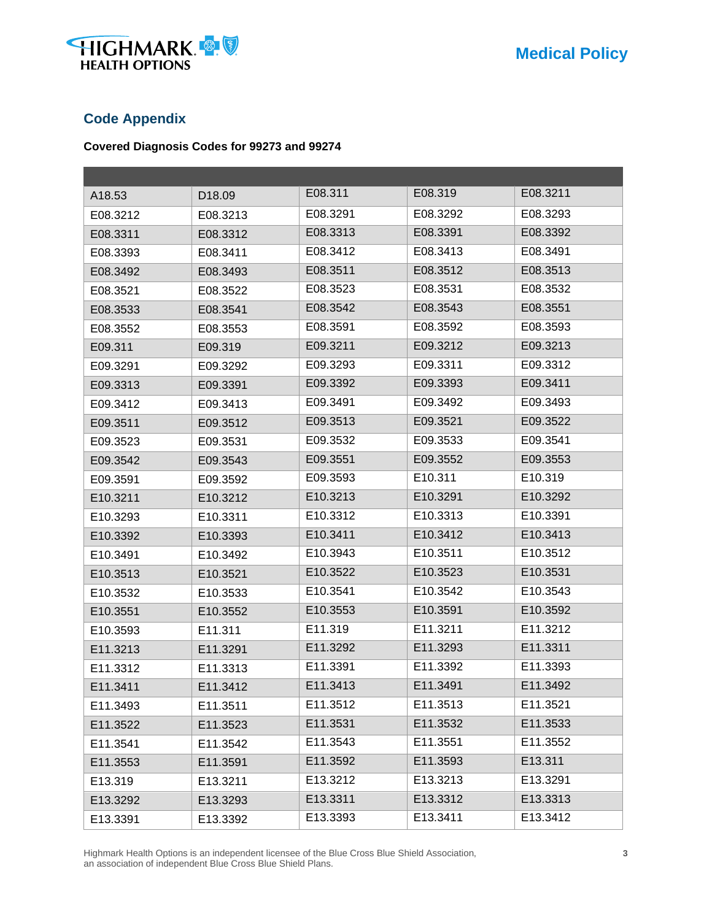

## **Code Appendix**

### **Covered Diagnosis Codes for 99273 and 99274**

| A18.53   | D18.09   | E08.311  | E08.319  | E08.3211 |
|----------|----------|----------|----------|----------|
| E08.3212 | E08.3213 | E08.3291 | E08.3292 | E08.3293 |
| E08.3311 | E08.3312 | E08.3313 | E08.3391 | E08.3392 |
| E08.3393 | E08.3411 | E08.3412 | E08.3413 | E08.3491 |
| E08.3492 | E08.3493 | E08.3511 | E08.3512 | E08.3513 |
| E08.3521 | E08.3522 | E08.3523 | E08.3531 | E08.3532 |
| E08.3533 | E08.3541 | E08.3542 | E08.3543 | E08.3551 |
| E08.3552 | E08.3553 | E08.3591 | E08.3592 | E08.3593 |
| E09.311  | E09.319  | E09.3211 | E09.3212 | E09.3213 |
| E09.3291 | E09.3292 | E09.3293 | E09.3311 | E09.3312 |
| E09.3313 | E09.3391 | E09.3392 | E09.3393 | E09.3411 |
| E09.3412 | E09.3413 | E09.3491 | E09.3492 | E09.3493 |
| E09.3511 | E09.3512 | E09.3513 | E09.3521 | E09.3522 |
| E09.3523 | E09.3531 | E09.3532 | E09.3533 | E09.3541 |
| E09.3542 | E09.3543 | E09.3551 | E09.3552 | E09.3553 |
| E09.3591 | E09.3592 | E09.3593 | E10.311  | E10.319  |
| E10.3211 | E10.3212 | E10.3213 | E10.3291 | E10.3292 |
| E10.3293 | E10.3311 | E10.3312 | E10.3313 | E10.3391 |
| E10.3392 | E10.3393 | E10.3411 | E10.3412 | E10.3413 |
| E10.3491 | E10.3492 | E10.3943 | E10.3511 | E10.3512 |
| E10.3513 | E10.3521 | E10.3522 | E10.3523 | E10.3531 |
| E10.3532 | E10.3533 | E10.3541 | E10.3542 | E10.3543 |
| E10.3551 | E10.3552 | E10.3553 | E10.3591 | E10.3592 |
| E10.3593 | E11.311  | E11.319  | E11.3211 | E11.3212 |
| E11.3213 | E11.3291 | E11.3292 | E11.3293 | E11.3311 |
| E11.3312 | E11.3313 | E11.3391 | E11.3392 | E11.3393 |
| E11.3411 | E11.3412 | E11.3413 | E11.3491 | E11.3492 |
| E11.3493 | E11.3511 | E11.3512 | E11.3513 | E11.3521 |
| E11.3522 | E11.3523 | E11.3531 | E11.3532 | E11.3533 |
| E11.3541 | E11.3542 | E11.3543 | E11.3551 | E11.3552 |
| E11.3553 | E11.3591 | E11.3592 | E11.3593 | E13.311  |
| E13.319  | E13.3211 | E13.3212 | E13.3213 | E13.3291 |
| E13.3292 | E13.3293 | E13.3311 | E13.3312 | E13.3313 |
| E13.3391 | E13.3392 | E13.3393 | E13.3411 | E13.3412 |

Highmark Health Options is an independent licensee of the Blue Cross Blue Shield Association, **3** an association of independent Blue Cross Blue Shield Plans.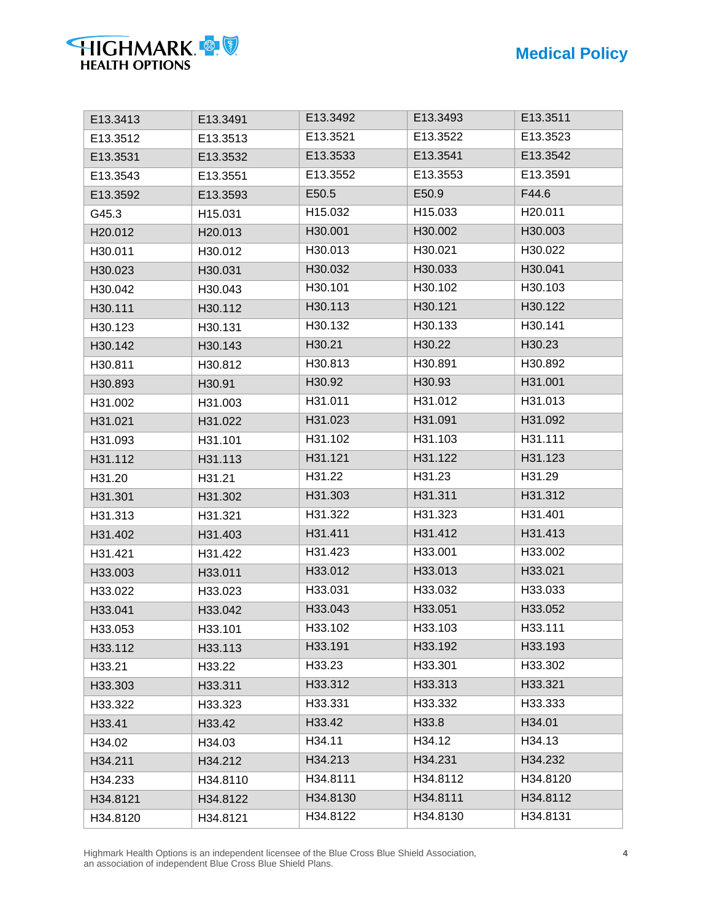| E13.3413            | E13.3491 | E13.3492 | E13.3493 | E13.3511 |
|---------------------|----------|----------|----------|----------|
| E13.3512            | E13.3513 | E13.3521 | E13.3522 | E13.3523 |
| E13.3531            | E13.3532 | E13.3533 | E13.3541 | E13.3542 |
| E13.3543            | E13.3551 | E13.3552 | E13.3553 | E13.3591 |
| E13.3592            | E13.3593 | E50.5    | E50.9    | F44.6    |
| G45.3               | H15.031  | H15.032  | H15.033  | H20.011  |
| H20.012             | H20.013  | H30.001  | H30.002  | H30.003  |
| H30.011             | H30.012  | H30.013  | H30.021  | H30.022  |
| H30.023             | H30.031  | H30.032  | H30.033  | H30.041  |
| H30.042             | H30.043  | H30.101  | H30.102  | H30.103  |
| H30.111             | H30.112  | H30.113  | H30.121  | H30.122  |
| H <sub>30.123</sub> | H30.131  | H30.132  | H30.133  | H30.141  |
| H30.142             | H30.143  | H30.21   | H30.22   | H30.23   |
| H30.811             | H30.812  | H30.813  | H30.891  | H30.892  |
| H30.893             | H30.91   | H30.92   | H30.93   | H31.001  |
| H31.002             | H31.003  | H31.011  | H31.012  | H31.013  |
| H31.021             | H31.022  | H31.023  | H31.091  | H31.092  |
| H31.093             | H31.101  | H31.102  | H31.103  | H31.111  |
| H31.112             | H31.113  | H31.121  | H31.122  | H31.123  |
| H31.20              | H31.21   | H31.22   | H31.23   | H31.29   |
| H31.301             | H31.302  | H31.303  | H31.311  | H31.312  |
| H31.313             | H31.321  | H31.322  | H31.323  | H31.401  |
| H31.402             | H31.403  | H31.411  | H31.412  | H31.413  |
| H31.421             | H31.422  | H31.423  | H33.001  | H33.002  |
| H33.003             | H33.011  | H33.012  | H33.013  | H33.021  |
| H33.022             | H33.023  | H33.031  | H33.032  | H33.033  |
| H33.041             | H33.042  | H33.043  | H33.051  | H33.052  |
| H33.053             | H33.101  | H33.102  | H33.103  | H33.111  |
| H33.112             | H33.113  | H33.191  | H33.192  | H33.193  |
| H33.21              | H33.22   | H33.23   | H33.301  | H33.302  |
| H33.303             | H33.311  | H33.312  | H33.313  | H33.321  |
| H33.322             | H33.323  | H33.331  | H33.332  | H33.333  |
| H33.41              | H33.42   | H33.42   | H33.8    | H34.01   |
| H34.02              | H34.03   | H34.11   | H34.12   | H34.13   |
| H34.211             | H34.212  | H34.213  | H34.231  | H34.232  |
| H34.233             | H34.8110 | H34.8111 | H34.8112 | H34.8120 |
| H34.8121            | H34.8122 | H34.8130 | H34.8111 | H34.8112 |
| H34.8120            | H34.8121 | H34.8122 | H34.8130 | H34.8131 |

**HIGHMARK** 

Highmark Health Options is an independent licensee of the Blue Cross Blue Shield Association, **4** an association of independent Blue Cross Blue Shield Plans.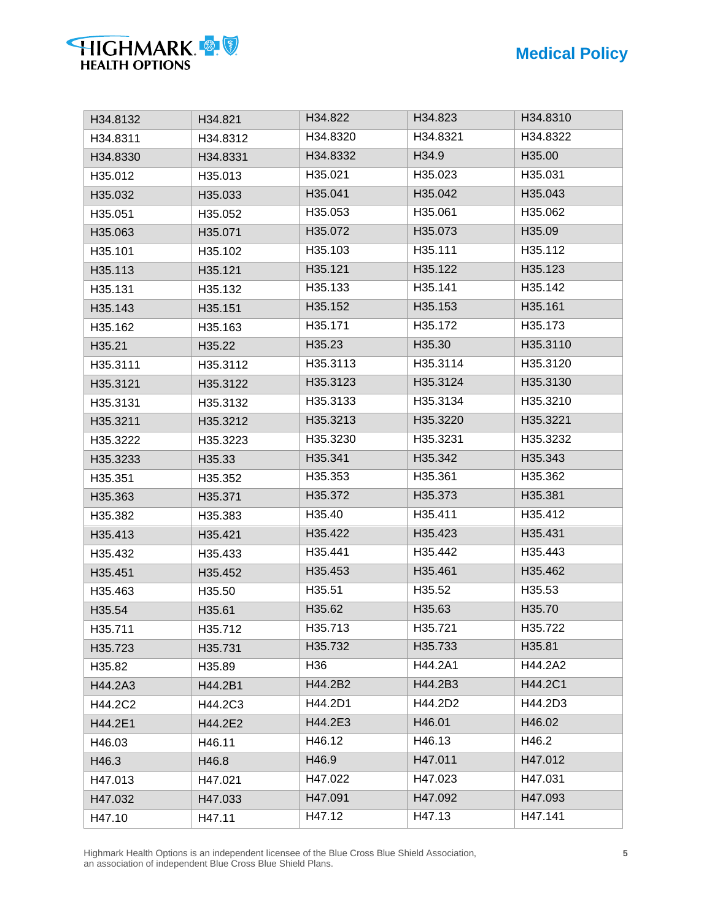| HIGHMARK &            |  |
|-----------------------|--|
| <b>HEALTH OPTIONS</b> |  |

| H34.8132 | H34.821  | H34.822  | H34.823  | H34.8310 |
|----------|----------|----------|----------|----------|
| H34.8311 | H34.8312 | H34.8320 | H34.8321 | H34.8322 |
| H34.8330 | H34.8331 | H34.8332 | H34.9    | H35.00   |
| H35.012  | H35.013  | H35.021  | H35.023  | H35.031  |
| H35.032  | H35.033  | H35.041  | H35.042  | H35.043  |
| H35.051  | H35.052  | H35.053  | H35.061  | H35.062  |
| H35.063  | H35.071  | H35.072  | H35.073  | H35.09   |
| H35.101  | H35.102  | H35.103  | H35.111  | H35.112  |
| H35.113  | H35.121  | H35.121  | H35.122  | H35.123  |
| H35.131  | H35.132  | H35.133  | H35.141  | H35.142  |
| H35.143  | H35.151  | H35.152  | H35.153  | H35.161  |
| H35.162  | H35.163  | H35.171  | H35.172  | H35.173  |
| H35.21   | H35.22   | H35.23   | H35.30   | H35.3110 |
| H35.3111 | H35.3112 | H35.3113 | H35.3114 | H35.3120 |
| H35.3121 | H35.3122 | H35.3123 | H35.3124 | H35.3130 |
| H35.3131 | H35.3132 | H35.3133 | H35.3134 | H35.3210 |
| H35.3211 | H35.3212 | H35.3213 | H35.3220 | H35.3221 |
| H35.3222 | H35.3223 | H35.3230 | H35.3231 | H35.3232 |
| H35.3233 | H35.33   | H35.341  | H35.342  | H35.343  |
| H35.351  | H35.352  | H35.353  | H35.361  | H35.362  |
| H35.363  | H35.371  | H35.372  | H35.373  | H35.381  |
| H35.382  | H35.383  | H35.40   | H35.411  | H35.412  |
| H35.413  | H35.421  | H35.422  | H35.423  | H35.431  |
| H35.432  | H35.433  | H35.441  | H35.442  | H35.443  |
| H35.451  | H35.452  | H35.453  | H35.461  | H35.462  |
| H35.463  | H35.50   | H35.51   | H35.52   | H35.53   |
| H35.54   | H35.61   | H35.62   | H35.63   | H35.70   |
| H35.711  | H35.712  | H35.713  | H35.721  | H35.722  |
| H35.723  | H35.731  | H35.732  | H35.733  | H35.81   |
| H35.82   | H35.89   | H36      | H44.2A1  | H44.2A2  |
| H44.2A3  | H44.2B1  | H44.2B2  | H44.2B3  | H44.2C1  |
| H44.2C2  | H44.2C3  | H44.2D1  | H44.2D2  | H44.2D3  |
| H44.2E1  | H44.2E2  | H44.2E3  | H46.01   | H46.02   |
| H46.03   | H46.11   | H46.12   | H46.13   | H46.2    |
| H46.3    | H46.8    | H46.9    | H47.011  | H47.012  |
| H47.013  | H47.021  | H47.022  | H47.023  | H47.031  |
| H47.032  | H47.033  | H47.091  | H47.092  | H47.093  |
| H47.10   | H47.11   | H47.12   | H47.13   | H47.141  |

Highmark Health Options is an independent licensee of the Blue Cross Blue Shield Association, **5** an association of independent Blue Cross Blue Shield Plans.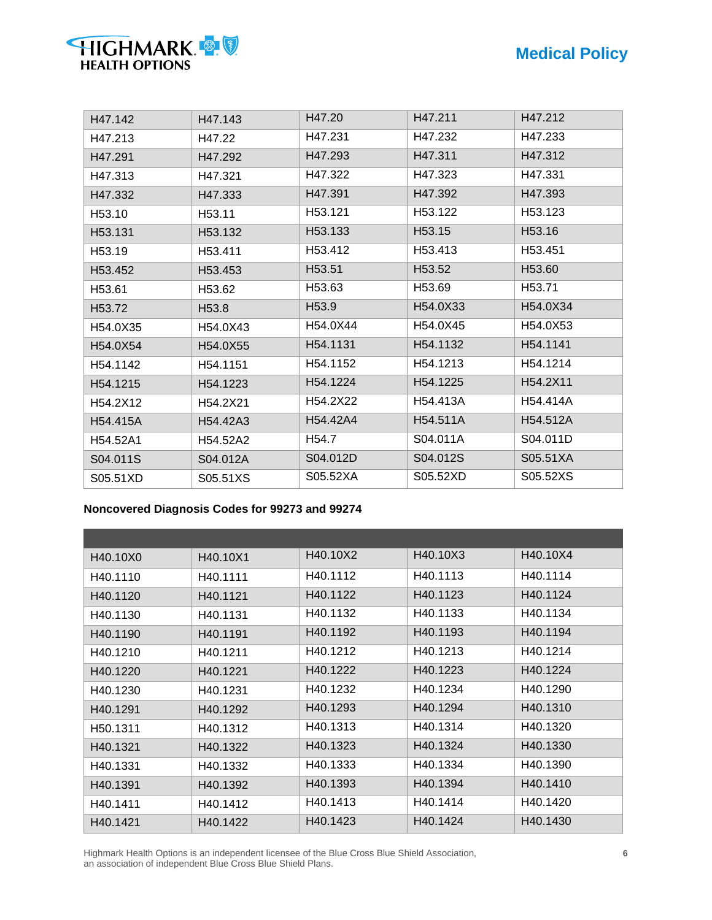| H47.143           | H47.20            | H47.211  | H47.212            |
|-------------------|-------------------|----------|--------------------|
| H47.22            | H47.231           | H47.232  | H47.233            |
| H47.292           | H47.293           | H47.311  | H47.312            |
| H47.321           | H47.322           | H47.323  | H47.331            |
| H47.333           | H47.391           | H47.392  | H47.393            |
| H53.11            | H53.121           | H53.122  | H53.123            |
| H53.132           | H53.133           | H53.15   | H53.16             |
| H53.411           | H53.412           | H53.413  | H53.451            |
| H53.453           | H53.51            | H53.52   | H53.60             |
| H53.62            | H53.63            | H53.69   | H <sub>53.71</sub> |
| H <sub>53.8</sub> | H <sub>53.9</sub> | H54.0X33 | H54.0X34           |
| H54.0X43          | H54.0X44          | H54.0X45 | H54.0X53           |
| H54.0X55          | H54.1131          | H54.1132 | H54.1141           |
| H54.1151          | H54.1152          | H54.1213 | H54.1214           |
| H54.1223          | H54.1224          | H54.1225 | H54.2X11           |
| H54.2X21          | H54.2X22          | H54.413A | H54.414A           |
| H54.42A3          | H54.42A4          | H54.511A | H54.512A           |
| H54.52A2          | H <sub>54.7</sub> | S04.011A | S04.011D           |
| S04.012A          | S04.012D          | S04.012S | S05.51XA           |
| S05.51XS          | S05.52XA          | S05.52XD | S05.52XS           |
|                   |                   |          |                    |

#### **Noncovered Diagnosis Codes for 99273 and 99274**

**HIGHMARK** 

| H40.10X0             | H <sub>40.10</sub> X <sub>1</sub> | H40.10X2 | H40.10X3 | H40.10X4 |
|----------------------|-----------------------------------|----------|----------|----------|
| H40.1110             | H40.1111                          | H40.1112 | H40.1113 | H40.1114 |
| H40.1120             | H40.1121                          | H40.1122 | H40.1123 | H40.1124 |
| H40.1130             | H40.1131                          | H40.1132 | H40.1133 | H40.1134 |
| H40.1190             | H40.1191                          | H40.1192 | H40.1193 | H40.1194 |
| H40.1210             | H40.1211                          | H40.1212 | H40.1213 | H40.1214 |
| H40.1220             | H40.1221                          | H40.1222 | H40.1223 | H40.1224 |
| H40.1230             | H40.1231                          | H40.1232 | H40.1234 | H40.1290 |
| H40.1291             | H40.1292                          | H40.1293 | H40.1294 | H40.1310 |
| H <sub>50.1311</sub> | H40.1312                          | H40.1313 | H40.1314 | H40.1320 |
| H40.1321             | H40.1322                          | H40.1323 | H40.1324 | H40.1330 |
| H40.1331             | H40.1332                          | H40.1333 | H40.1334 | H40.1390 |
| H40.1391             | H40.1392                          | H40.1393 | H40.1394 | H40.1410 |
| H40.1411             | H40.1412                          | H40.1413 | H40.1414 | H40.1420 |
| H40.1421             | H40.1422                          | H40.1423 | H40.1424 | H40.1430 |

Highmark Health Options is an independent licensee of the Blue Cross Blue Shield Association, **6** an association of independent Blue Cross Blue Shield Plans.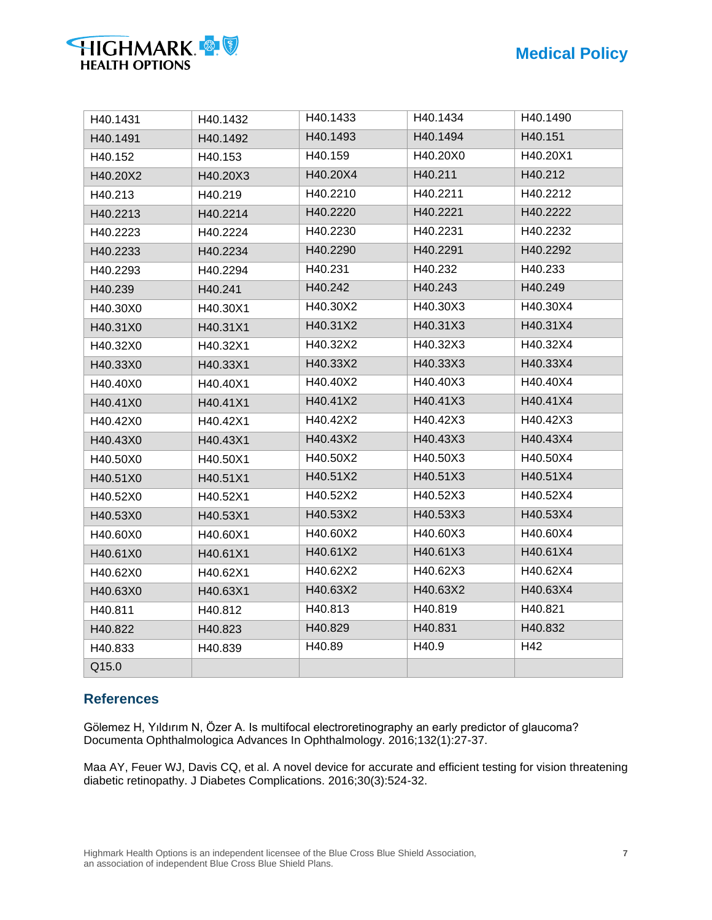| <b>HIGHMARK</b>       |  |
|-----------------------|--|
| <b>HEALTH OPTIONS</b> |  |

| H40.1493<br>H40.1494<br>H40.151<br>H40.1491<br>H40.1492<br>H40.159<br>H40.20X0<br>H40.20X1<br>H40.153<br>H40.152<br>H40.20X4<br>H40.211<br>H40.212<br>H40.20X2<br>H40.20X3<br>H40.2210<br>H40.2211<br>H40.2212<br>H40.213<br>H40.219<br>H40.2220<br>H40.2221<br>H40.2222<br>H40.2214<br>H40.2213<br>H40.2230<br>H40.2231<br>H40.2232<br>H40.2224<br>H40.2223<br>H40.2290<br>H40.2291<br>H40.2292<br>H40.2233<br>H40.2234<br>H40.231<br>H40.232<br>H40.233<br>H40.2293<br>H40.2294<br>H40.242<br>H40.243<br>H40.249<br>H40.239<br>H40.241<br>H40.30X2<br>H40.30X3<br>H40.30X4<br>H40.30X0<br>H40.30X1<br>H40.31X3<br>H40.31X4<br>H40.31X2<br>H40.31X0<br>H40.31X1<br>H40.32X2<br>H40.32X3<br>H40.32X4<br>H40.32X0<br>H40.32X1<br>H40.33X2<br>H40.33X3<br>H40.33X4<br>H40.33X0<br>H40.33X1<br>H40.40X2<br>H40.40X3<br>H40.40X4<br>H40.40X1<br>H40.40X0<br>H40.41X2<br>H40.41X3<br>H40.41X4<br>H40.41X1<br>H40.41X0<br>H40.42X2<br>H40.42X3<br>H40.42X3<br>H40.42X1<br>H40.42X0<br>H40.43X2<br>H40.43X3<br>H40.43X4<br>H40.43X0<br>H40.43X1<br>H40.50X3<br>H40.50X4<br>H40.50X2<br>H40.50X0<br>H40.50X1<br>H40.51X2<br>H40.51X3<br>H40.51X4<br>H40.51X1<br>H40.51X0<br>H40.52X2<br>H40.52X3<br>H40.52X4<br>H40.52X0<br>H40.52X1<br>H40.53X2<br>H40.53X3<br>H40.53X4<br>H40.53X1<br>H40.53X0<br>H40.60X3<br>H40.60X4<br>H40.60X2<br>H40.60X0<br>H40.60X1<br>H40.61X2<br>H40.61X3<br>H40.61X4<br>H40.61X0<br>H40.61X1<br>H40.62X2<br>H40.62X3<br>H40.62X4<br>H40.62X0<br>H40.62X1<br>H40.63X2<br>H40.63X2<br>H40.63X4<br>H40.63X0<br>H40.63X1<br>H40.813<br>H40.819<br>H40.821<br>H40.811<br>H40.812<br>H40.829<br>H40.831<br>H40.832<br>H40.822<br>H40.823<br>H40.89<br>H40.9<br>H42<br>H40.833<br>H40.839<br>Q15.0 | H40.1431 | H40.1432 | H40.1433 | H40.1434 | H40.1490 |
|-----------------------------------------------------------------------------------------------------------------------------------------------------------------------------------------------------------------------------------------------------------------------------------------------------------------------------------------------------------------------------------------------------------------------------------------------------------------------------------------------------------------------------------------------------------------------------------------------------------------------------------------------------------------------------------------------------------------------------------------------------------------------------------------------------------------------------------------------------------------------------------------------------------------------------------------------------------------------------------------------------------------------------------------------------------------------------------------------------------------------------------------------------------------------------------------------------------------------------------------------------------------------------------------------------------------------------------------------------------------------------------------------------------------------------------------------------------------------------------------------------------------------------------------------------------------------------------------------------------------------------------------------------------------------------------------------------------------|----------|----------|----------|----------|----------|
|                                                                                                                                                                                                                                                                                                                                                                                                                                                                                                                                                                                                                                                                                                                                                                                                                                                                                                                                                                                                                                                                                                                                                                                                                                                                                                                                                                                                                                                                                                                                                                                                                                                                                                                 |          |          |          |          |          |
|                                                                                                                                                                                                                                                                                                                                                                                                                                                                                                                                                                                                                                                                                                                                                                                                                                                                                                                                                                                                                                                                                                                                                                                                                                                                                                                                                                                                                                                                                                                                                                                                                                                                                                                 |          |          |          |          |          |
|                                                                                                                                                                                                                                                                                                                                                                                                                                                                                                                                                                                                                                                                                                                                                                                                                                                                                                                                                                                                                                                                                                                                                                                                                                                                                                                                                                                                                                                                                                                                                                                                                                                                                                                 |          |          |          |          |          |
|                                                                                                                                                                                                                                                                                                                                                                                                                                                                                                                                                                                                                                                                                                                                                                                                                                                                                                                                                                                                                                                                                                                                                                                                                                                                                                                                                                                                                                                                                                                                                                                                                                                                                                                 |          |          |          |          |          |
|                                                                                                                                                                                                                                                                                                                                                                                                                                                                                                                                                                                                                                                                                                                                                                                                                                                                                                                                                                                                                                                                                                                                                                                                                                                                                                                                                                                                                                                                                                                                                                                                                                                                                                                 |          |          |          |          |          |
|                                                                                                                                                                                                                                                                                                                                                                                                                                                                                                                                                                                                                                                                                                                                                                                                                                                                                                                                                                                                                                                                                                                                                                                                                                                                                                                                                                                                                                                                                                                                                                                                                                                                                                                 |          |          |          |          |          |
|                                                                                                                                                                                                                                                                                                                                                                                                                                                                                                                                                                                                                                                                                                                                                                                                                                                                                                                                                                                                                                                                                                                                                                                                                                                                                                                                                                                                                                                                                                                                                                                                                                                                                                                 |          |          |          |          |          |
|                                                                                                                                                                                                                                                                                                                                                                                                                                                                                                                                                                                                                                                                                                                                                                                                                                                                                                                                                                                                                                                                                                                                                                                                                                                                                                                                                                                                                                                                                                                                                                                                                                                                                                                 |          |          |          |          |          |
|                                                                                                                                                                                                                                                                                                                                                                                                                                                                                                                                                                                                                                                                                                                                                                                                                                                                                                                                                                                                                                                                                                                                                                                                                                                                                                                                                                                                                                                                                                                                                                                                                                                                                                                 |          |          |          |          |          |
|                                                                                                                                                                                                                                                                                                                                                                                                                                                                                                                                                                                                                                                                                                                                                                                                                                                                                                                                                                                                                                                                                                                                                                                                                                                                                                                                                                                                                                                                                                                                                                                                                                                                                                                 |          |          |          |          |          |
|                                                                                                                                                                                                                                                                                                                                                                                                                                                                                                                                                                                                                                                                                                                                                                                                                                                                                                                                                                                                                                                                                                                                                                                                                                                                                                                                                                                                                                                                                                                                                                                                                                                                                                                 |          |          |          |          |          |
|                                                                                                                                                                                                                                                                                                                                                                                                                                                                                                                                                                                                                                                                                                                                                                                                                                                                                                                                                                                                                                                                                                                                                                                                                                                                                                                                                                                                                                                                                                                                                                                                                                                                                                                 |          |          |          |          |          |
|                                                                                                                                                                                                                                                                                                                                                                                                                                                                                                                                                                                                                                                                                                                                                                                                                                                                                                                                                                                                                                                                                                                                                                                                                                                                                                                                                                                                                                                                                                                                                                                                                                                                                                                 |          |          |          |          |          |
|                                                                                                                                                                                                                                                                                                                                                                                                                                                                                                                                                                                                                                                                                                                                                                                                                                                                                                                                                                                                                                                                                                                                                                                                                                                                                                                                                                                                                                                                                                                                                                                                                                                                                                                 |          |          |          |          |          |
|                                                                                                                                                                                                                                                                                                                                                                                                                                                                                                                                                                                                                                                                                                                                                                                                                                                                                                                                                                                                                                                                                                                                                                                                                                                                                                                                                                                                                                                                                                                                                                                                                                                                                                                 |          |          |          |          |          |
|                                                                                                                                                                                                                                                                                                                                                                                                                                                                                                                                                                                                                                                                                                                                                                                                                                                                                                                                                                                                                                                                                                                                                                                                                                                                                                                                                                                                                                                                                                                                                                                                                                                                                                                 |          |          |          |          |          |
|                                                                                                                                                                                                                                                                                                                                                                                                                                                                                                                                                                                                                                                                                                                                                                                                                                                                                                                                                                                                                                                                                                                                                                                                                                                                                                                                                                                                                                                                                                                                                                                                                                                                                                                 |          |          |          |          |          |
|                                                                                                                                                                                                                                                                                                                                                                                                                                                                                                                                                                                                                                                                                                                                                                                                                                                                                                                                                                                                                                                                                                                                                                                                                                                                                                                                                                                                                                                                                                                                                                                                                                                                                                                 |          |          |          |          |          |
|                                                                                                                                                                                                                                                                                                                                                                                                                                                                                                                                                                                                                                                                                                                                                                                                                                                                                                                                                                                                                                                                                                                                                                                                                                                                                                                                                                                                                                                                                                                                                                                                                                                                                                                 |          |          |          |          |          |
|                                                                                                                                                                                                                                                                                                                                                                                                                                                                                                                                                                                                                                                                                                                                                                                                                                                                                                                                                                                                                                                                                                                                                                                                                                                                                                                                                                                                                                                                                                                                                                                                                                                                                                                 |          |          |          |          |          |
|                                                                                                                                                                                                                                                                                                                                                                                                                                                                                                                                                                                                                                                                                                                                                                                                                                                                                                                                                                                                                                                                                                                                                                                                                                                                                                                                                                                                                                                                                                                                                                                                                                                                                                                 |          |          |          |          |          |
|                                                                                                                                                                                                                                                                                                                                                                                                                                                                                                                                                                                                                                                                                                                                                                                                                                                                                                                                                                                                                                                                                                                                                                                                                                                                                                                                                                                                                                                                                                                                                                                                                                                                                                                 |          |          |          |          |          |
|                                                                                                                                                                                                                                                                                                                                                                                                                                                                                                                                                                                                                                                                                                                                                                                                                                                                                                                                                                                                                                                                                                                                                                                                                                                                                                                                                                                                                                                                                                                                                                                                                                                                                                                 |          |          |          |          |          |
|                                                                                                                                                                                                                                                                                                                                                                                                                                                                                                                                                                                                                                                                                                                                                                                                                                                                                                                                                                                                                                                                                                                                                                                                                                                                                                                                                                                                                                                                                                                                                                                                                                                                                                                 |          |          |          |          |          |
|                                                                                                                                                                                                                                                                                                                                                                                                                                                                                                                                                                                                                                                                                                                                                                                                                                                                                                                                                                                                                                                                                                                                                                                                                                                                                                                                                                                                                                                                                                                                                                                                                                                                                                                 |          |          |          |          |          |
|                                                                                                                                                                                                                                                                                                                                                                                                                                                                                                                                                                                                                                                                                                                                                                                                                                                                                                                                                                                                                                                                                                                                                                                                                                                                                                                                                                                                                                                                                                                                                                                                                                                                                                                 |          |          |          |          |          |
|                                                                                                                                                                                                                                                                                                                                                                                                                                                                                                                                                                                                                                                                                                                                                                                                                                                                                                                                                                                                                                                                                                                                                                                                                                                                                                                                                                                                                                                                                                                                                                                                                                                                                                                 |          |          |          |          |          |
|                                                                                                                                                                                                                                                                                                                                                                                                                                                                                                                                                                                                                                                                                                                                                                                                                                                                                                                                                                                                                                                                                                                                                                                                                                                                                                                                                                                                                                                                                                                                                                                                                                                                                                                 |          |          |          |          |          |
|                                                                                                                                                                                                                                                                                                                                                                                                                                                                                                                                                                                                                                                                                                                                                                                                                                                                                                                                                                                                                                                                                                                                                                                                                                                                                                                                                                                                                                                                                                                                                                                                                                                                                                                 |          |          |          |          |          |

### **References**

Gölemez H, Yıldırım N, Özer A. Is multifocal electroretinography an early predictor of glaucoma? Documenta Ophthalmologica Advances In Ophthalmology. 2016;132(1):27-37.

Maa AY, Feuer WJ, Davis CQ, et al. A novel device for accurate and efficient testing for vision threatening diabetic retinopathy. J Diabetes Complications. 2016;30(3):524-32.